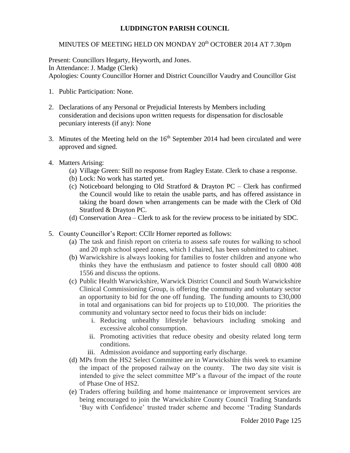## **LUDDINGTON PARISH COUNCIL**

## MINUTES OF MEETING HELD ON MONDAY 20<sup>th</sup> OCTOBER 2014 AT 7.30pm

Present: Councillors Hegarty, Heyworth, and Jones. In Attendance: J. Madge (Clerk) Apologies: County Councillor Horner and District Councillor Vaudry and Councillor Gist

- 1. Public Participation: None.
- 2. Declarations of any Personal or Prejudicial Interests by Members including consideration and decisions upon written requests for dispensation for disclosable pecuniary interests (if any): None
- 3. Minutes of the Meeting held on the  $16<sup>th</sup>$  September 2014 had been circulated and were approved and signed.
- 4. Matters Arising:
	- (a) Village Green: Still no response from Ragley Estate. Clerk to chase a response.
	- (b) Lock: No work has started yet.
	- (c) Noticeboard belonging to Old Stratford & Drayton PC Clerk has confirmed the Council would like to retain the usable parts, and has offered assistance in taking the board down when arrangements can be made with the Clerk of Old Stratford & Drayton PC.
	- (d) Conservation Area Clerk to ask for the review process to be initiated by SDC.
- 5. County Councillor's Report: CCllr Horner reported as follows:
	- (a) The task and finish report on criteria to assess safe routes for walking to school and 20 mph school speed zones, which I chaired, has been submitted to cabinet.
	- (b) Warwickshire is always looking for families to foster children and anyone who thinks they have the enthusiasm and patience to foster should call 0800 408 1556 and discuss the options.
	- (c) Public Health Warwickshire, Warwick District Council and South Warwickshire Clinical Commissioning Group, is offering the community and voluntary sector an opportunity to bid for the one off funding. The funding amounts to £30,000 in total and organisations can bid for projects up to £10,000. The priorities the community and voluntary sector need to focus their bids on include:
		- i. Reducing unhealthy lifestyle behaviours including smoking and excessive alcohol consumption.
		- ii. Promoting activities that reduce obesity and obesity related long term conditions.
		- iii. Admission avoidance and supporting early discharge.
	- (d) MPs from the HS2 Select Committee are in Warwickshire this week to examine the impact of the proposed railway on the county. The two day site visit is intended to give the select committee MP's a flavour of the impact of the route of Phase One of HS2.
	- (e) Traders offering building and home maintenance or improvement services are being encouraged to join the Warwickshire County Council Trading Standards 'Buy with Confidence' trusted trader scheme and become 'Trading Standards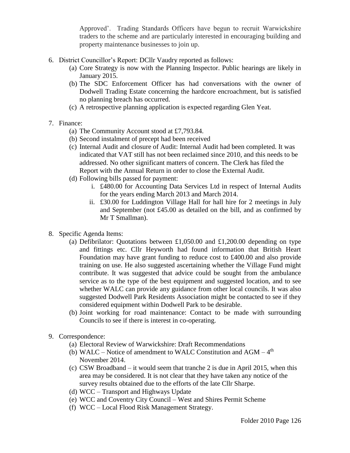Approved'. Trading Standards Officers have begun to recruit Warwickshire traders to the scheme and are particularly interested in encouraging building and property maintenance businesses to join up.

- 6. District Councillor's Report: DCllr Vaudry reported as follows:
	- (a) Core Strategy is now with the Planning Inspector. Public hearings are likely in January 2015.
	- (b) The SDC Enforcement Officer has had conversations with the owner of Dodwell Trading Estate concerning the hardcore encroachment, but is satisfied no planning breach has occurred.
	- (c) A retrospective planning application is expected regarding Glen Yeat.
- 7. Finance:
	- (a) The Community Account stood at £7,793.84.
	- (b) Second instalment of precept had been received
	- (c) Internal Audit and closure of Audit: Internal Audit had been completed. It was indicated that VAT still has not been reclaimed since 2010, and this needs to be addressed. No other significant matters of concern. The Clerk has filed the Report with the Annual Return in order to close the External Audit.
	- (d) Following bills passed for payment:
		- i. £480.00 for Accounting Data Services Ltd in respect of Internal Audits for the years ending March 2013 and March 2014.
		- ii. £30.00 for Luddington Village Hall for hall hire for 2 meetings in July and September (not £45.00 as detailed on the bill, and as confirmed by Mr T Smallman).
- 8. Specific Agenda Items:
	- (a) Defibrilator: Quotations between £1,050.00 and £1,200.00 depending on type and fittings etc. Cllr Heyworth had found information that British Heart Foundation may have grant funding to reduce cost to £400.00 and also provide training on use. He also suggested ascertaining whether the Village Fund might contribute. It was suggested that advice could be sought from the ambulance service as to the type of the best equipment and suggested location, and to see whether WALC can provide any guidance from other local councils. It was also suggested Dodwell Park Residents Association might be contacted to see if they considered equipment within Dodwell Park to be desirable.
	- (b) Joint working for road maintenance: Contact to be made with surrounding Councils to see if there is interest in co-operating.
- 9. Correspondence:
	- (a) Electoral Review of Warwickshire: Draft Recommendations
	- (b) WALC Notice of amendment to WALC Constitution and  $AGM 4<sup>th</sup>$ November 2014.
	- (c) CSW Broadband it would seem that tranche 2 is due in April 2015, when this area may be considered. It is not clear that they have taken any notice of the survey results obtained due to the efforts of the late Cllr Sharpe.
	- (d) WCC Transport and Highways Update
	- (e) WCC and Coventry City Council West and Shires Permit Scheme
	- (f) WCC Local Flood Risk Management Strategy.